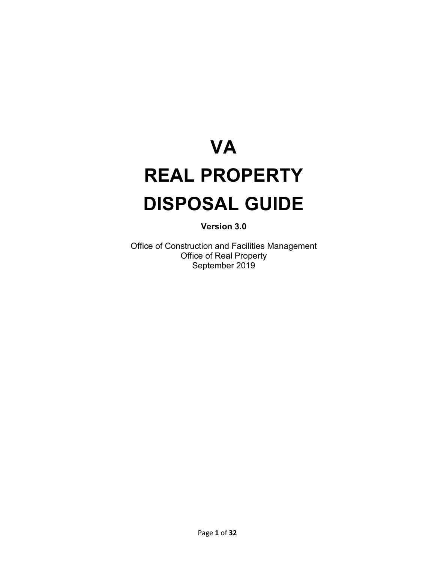# **VA**

# **REAL PROPERTY DISPOSAL GUIDE**

**Version 3.0**

Office of Construction and Facilities Management Office of Real Property September 2019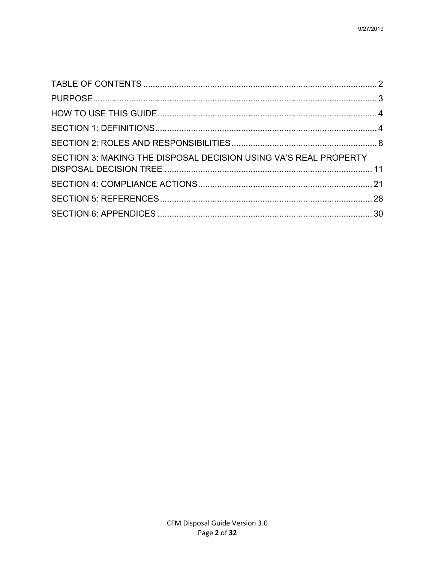<span id="page-1-0"></span>

| SECTION 3: MAKING THE DISPOSAL DECISION USING VA'S REAL PROPERTY |  |
|------------------------------------------------------------------|--|
|                                                                  |  |
|                                                                  |  |
|                                                                  |  |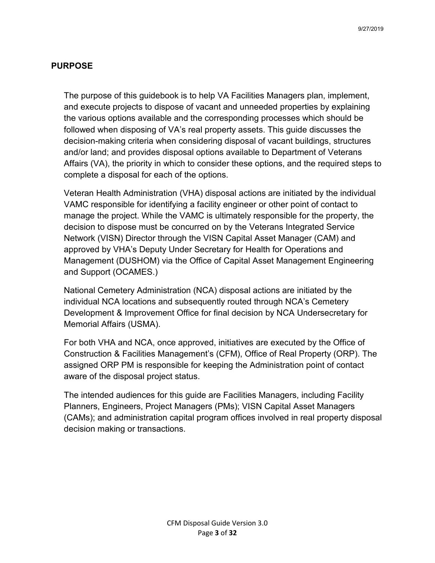# <span id="page-2-0"></span>**PURPOSE**

The purpose of this guidebook is to help VA Facilities Managers plan, implement, and execute projects to dispose of vacant and unneeded properties by explaining the various options available and the corresponding processes which should be followed when disposing of VA's real property assets. This guide discusses the decision-making criteria when considering disposal of vacant buildings, structures and/or land; and provides disposal options available to Department of Veterans Affairs (VA), the priority in which to consider these options, and the required steps to complete a disposal for each of the options.

Veteran Health Administration (VHA) disposal actions are initiated by the individual VAMC responsible for identifying a facility engineer or other point of contact to manage the project. While the VAMC is ultimately responsible for the property, the decision to dispose must be concurred on by the Veterans Integrated Service Network (VISN) Director through the VISN Capital Asset Manager (CAM) and approved by VHA's Deputy Under Secretary for Health for Operations and Management (DUSHOM) via the Office of Capital Asset Management Engineering and Support (OCAMES.)

National Cemetery Administration (NCA) disposal actions are initiated by the individual NCA locations and subsequently routed through NCA's Cemetery Development & Improvement Office for final decision by NCA Undersecretary for Memorial Affairs (USMA).

For both VHA and NCA, once approved, initiatives are executed by the Office of Construction & Facilities Management's (CFM), Office of Real Property (ORP). The assigned ORP PM is responsible for keeping the Administration point of contact aware of the disposal project status.

<span id="page-2-1"></span>The intended audiences for this guide are Facilities Managers, including Facility Planners, Engineers, Project Managers (PMs); VISN Capital Asset Managers (CAMs); and administration capital program offices involved in real property disposal decision making or transactions.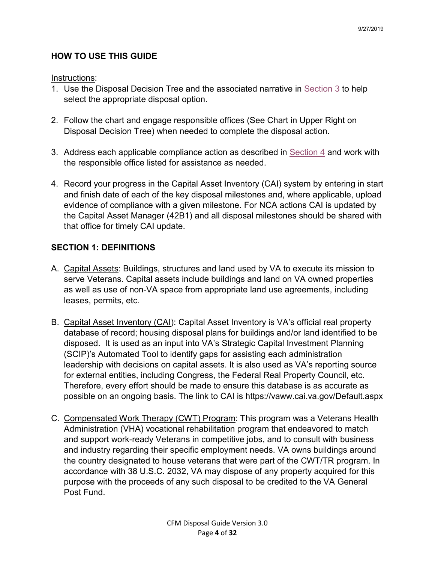# **HOW TO USE THIS GUIDE**

Instructions:

- 1. Use the Disposal Decision Tree and the associated narrative in [Section 3](#page-9-0) to help select the appropriate disposal option.
- 2. Follow the chart and engage responsible offices (See Chart in Upper Right on Disposal Decision Tree) when needed to complete the disposal action.
- 3. Address each applicable compliance action as described in [Section 4](#page-19-0) and work with the responsible office listed for assistance as needed.
- 4. Record your progress in the Capital Asset Inventory (CAI) system by entering in start and finish date of each of the key disposal milestones and, where applicable, upload evidence of compliance with a given milestone. For NCA actions CAI is updated by the Capital Asset Manager (42B1) and all disposal milestones should be shared with that office for timely CAI update.

# <span id="page-3-0"></span>**SECTION 1: DEFINITIONS**

- A. Capital Assets: Buildings, structures and land used by VA to execute its mission to serve Veterans. Capital assets include buildings and land on VA owned properties as well as use of non-VA space from appropriate land use agreements, including leases, permits, etc.
- B. Capital Asset Inventory (CAI): Capital Asset Inventory is VA's official real property database of record; housing disposal plans for buildings and/or land identified to be disposed. It is used as an input into VA's Strategic Capital Investment Planning (SCIP)'s Automated Tool to identify gaps for assisting each administration leadership with decisions on capital assets. It is also used as VA's reporting source for external entities, including Congress, the Federal Real Property Council, etc. Therefore, every effort should be made to ensure this database is as accurate as possible on an ongoing basis. The link to CAI is https://vaww.cai.va.gov/Default.aspx
- C. Compensated Work Therapy (CWT) Program: This program was a Veterans Health Administration (VHA) vocational rehabilitation program that endeavored to match and support work-ready Veterans in competitive jobs, and to consult with business and industry regarding their specific employment needs. VA owns buildings around the country designated to house veterans that were part of the CWT/TR program. In accordance with 38 U.S.C. 2032, VA may dispose of any property acquired for this purpose with the proceeds of any such disposal to be credited to the VA General Post Fund.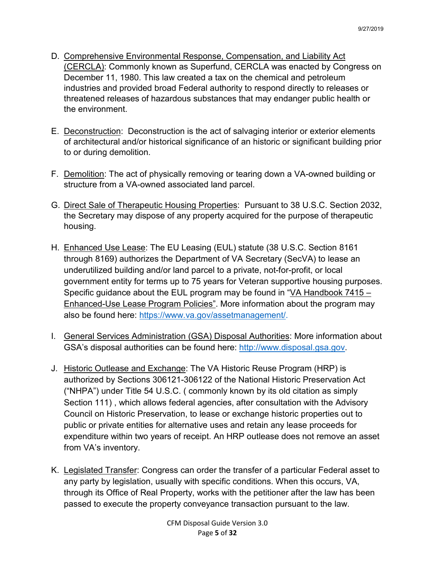- D. Comprehensive Environmental Response, Compensation, and Liability Act (CERCLA): Commonly known as Superfund, CERCLA was enacted by Congress on December 11, 1980. This law created a tax on the chemical and petroleum industries and provided broad Federal authority to respond directly to releases or threatened releases of hazardous substances that may endanger public health or the environment.
- E. Deconstruction: Deconstruction is the act of salvaging interior or exterior elements of architectural and/or historical significance of an historic or significant building prior to or during demolition.
- F. Demolition: The act of physically removing or tearing down a VA-owned building or structure from a VA-owned associated land parcel.
- G. Direct Sale of Therapeutic Housing Properties: Pursuant to 38 U.S.C. Section 2032, the Secretary may dispose of any property acquired for the purpose of therapeutic housing.
- H. Enhanced Use Lease: The EU Leasing (EUL) statute (38 U.S.C. Section 8161 through 8169) authorizes the Department of VA Secretary (SecVA) to lease an underutilized building and/or land parcel to a private, not-for-profit, or local government entity for terms up to 75 years for Veteran supportive housing purposes. Specific guidance about the EUL program may be found in "VA Handbook 7415 – Enhanced-Use Lease Program Policies". More information about the program may also be found here: [https://www.va.gov/assetmanagement/.](https://www.va.gov/assetmanagement/)
- <span id="page-4-0"></span>I. General Services Administration (GSA) Disposal Authorities: More information about GSA's disposal authorities can be found here: [http://www.disposal.gsa.gov.](http://www.disposal.gsa.gov/)
- J. Historic Outlease and Exchange: The VA Historic Reuse Program (HRP) is authorized by Sections 306121-306122 of the National Historic Preservation Act ("NHPA") under Title 54 U.S.C. ( commonly known by its old citation as simply Section 111) , which allows federal agencies, after consultation with the Advisory Council on Historic Preservation, to lease or exchange historic properties out to public or private entities for alternative uses and retain any lease proceeds for expenditure within two years of receipt. An HRP outlease does not remove an asset from VA's inventory.
- K. Legislated Transfer: Congress can order the transfer of a particular Federal asset to any party by legislation, usually with specific conditions. When this occurs, VA, through its Office of Real Property, works with the petitioner after the law has been passed to execute the property conveyance transaction pursuant to the law.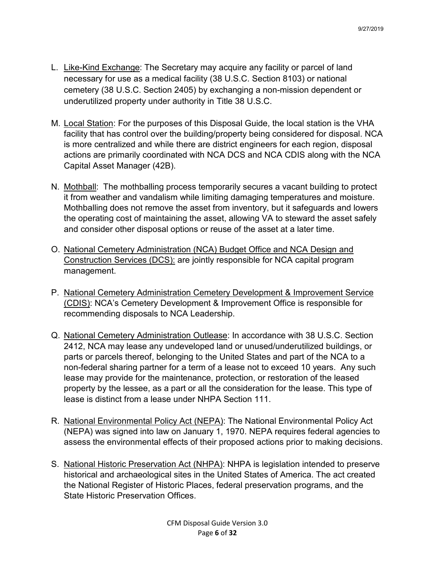- L. Like-Kind Exchange: The Secretary may acquire any facility or parcel of land necessary for use as a medical facility (38 U.S.C. Section 8103) or national cemetery (38 U.S.C. Section 2405) by exchanging a non-mission dependent or underutilized property under authority in Title 38 U.S.C.
- M. Local Station: For the purposes of this Disposal Guide, the local station is the VHA facility that has control over the building/property being considered for disposal. NCA is more centralized and while there are district engineers for each region, disposal actions are primarily coordinated with NCA DCS and NCA CDIS along with the NCA Capital Asset Manager (42B).
- N. Mothball: The mothballing process temporarily secures a vacant building to protect it from weather and vandalism while limiting damaging temperatures and moisture. Mothballing does not remove the asset from inventory, but it safeguards and lowers the operating cost of maintaining the asset, allowing VA to steward the asset safely and consider other disposal options or reuse of the asset at a later time.
- O. National Cemetery Administration (NCA) Budget Office and NCA Design and Construction Services (DCS): are jointly responsible for NCA capital program management.
- P. National Cemetery Administration Cemetery Development & Improvement Service (CDIS): NCA's Cemetery Development & Improvement Office is responsible for recommending disposals to NCA Leadership.
- Q. National Cemetery Administration Outlease: In accordance with 38 U.S.C. Section 2412, NCA may lease any undeveloped land or unused/underutilized buildings, or parts or parcels thereof, belonging to the United States and part of the NCA to a non-federal sharing partner for a term of a lease not to exceed 10 years. Any such lease may provide for the maintenance, protection, or restoration of the leased property by the lessee, as a part or all the consideration for the lease. This type of lease is distinct from a lease under NHPA Section 111.
- <span id="page-5-0"></span>R. National Environmental Policy Act (NEPA): The National Environmental Policy Act (NEPA) was signed into law on January 1, 1970. NEPA requires federal agencies to assess the environmental effects of their proposed actions prior to making decisions.
- S. National Historic Preservation Act (NHPA): NHPA is legislation intended to preserve historical and archaeological sites in the United States of America. The act created the National Register of Historic Places, federal preservation programs, and the State Historic Preservation Offices.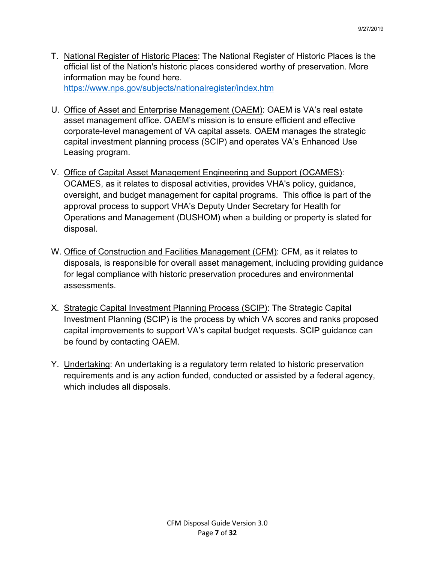T. National Register of Historic Places: The National Register of Historic Places is the official list of the Nation's historic places considered worthy of preservation. More information may be found here.

<https://www.nps.gov/subjects/nationalregister/index.htm>

- U. Office of Asset and Enterprise Management (OAEM): OAEM is VA's real estate asset management office. OAEM's mission is to ensure efficient and effective corporate-level management of VA capital assets. OAEM manages the strategic capital investment planning process (SCIP) and operates VA's Enhanced Use Leasing program.
- V. Office of Capital Asset Management Engineering and Support (OCAMES): OCAMES, as it relates to disposal activities, provides VHA's policy, guidance, oversight, and budget management for capital programs. This office is part of the approval process to support VHA's Deputy Under Secretary for Health for Operations and Management (DUSHOM) when a building or property is slated for disposal.
- W. Office of Construction and Facilities Management (CFM): CFM, as it relates to disposals, is responsible for overall asset management, including providing guidance for legal compliance with historic preservation procedures and environmental assessments.
- X. Strategic Capital Investment Planning Process (SCIP): The Strategic Capital Investment Planning (SCIP) is the process by which VA scores and ranks proposed capital improvements to support VA's capital budget requests. SCIP guidance can be found by contacting OAEM.
- <span id="page-6-0"></span>Y. Undertaking: An undertaking is a regulatory term related to historic preservation requirements and is any action funded, conducted or assisted by a federal agency, which includes all disposals.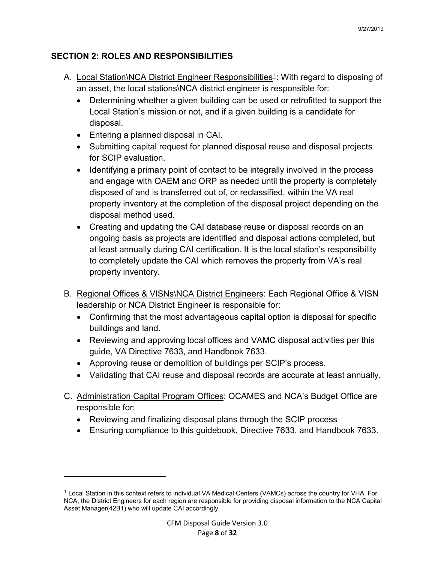# **SECTION 2: ROLES AND RESPONSIBILITIES**

- A. Local Station\NCA District Engineer Responsibilities<sup>[1](#page-7-0)</sup>: With regard to disposing of an asset, the local stations\NCA district engineer is responsible for:
	- Determining whether a given building can be used or retrofitted to support the Local Station's mission or not, and if a given building is a candidate for disposal.
	- Entering a planned disposal in CAI.

 $\overline{a}$ 

- Submitting capital request for planned disposal reuse and disposal projects for SCIP evaluation.
- Identifying a primary point of contact to be integrally involved in the process and engage with OAEM and ORP as needed until the property is completely disposed of and is transferred out of, or reclassified, within the VA real property inventory at the completion of the disposal project depending on the disposal method used.
- Creating and updating the CAI database reuse or disposal records on an ongoing basis as projects are identified and disposal actions completed, but at least annually during CAI certification. It is the local station's responsibility to completely update the CAI which removes the property from VA's real property inventory.
- B. Regional Offices & VISNs\NCA District Engineers: Each Regional Office & VISN leadership or NCA District Engineer is responsible for:
	- Confirming that the most advantageous capital option is disposal for specific buildings and land.
	- Reviewing and approving local offices and VAMC disposal activities per this guide, VA Directive 7633, and Handbook 7633.
	- Approving reuse or demolition of buildings per SCIP's process.
	- Validating that CAI reuse and disposal records are accurate at least annually.
- C. Administration Capital Program Offices: OCAMES and NCA's Budget Office are responsible for:
	- Reviewing and finalizing disposal plans through the SCIP process
	- Ensuring compliance to this guidebook, Directive 7633, and Handbook 7633.

<span id="page-7-0"></span><sup>1</sup> Local Station in this context refers to individual VA Medical Centers (VAMCs) across the country for VHA. For NCA, the District Engineers for each region are responsible for providing disposal information to the NCA Capital Asset Manager(42B1) who will update CAI accordingly.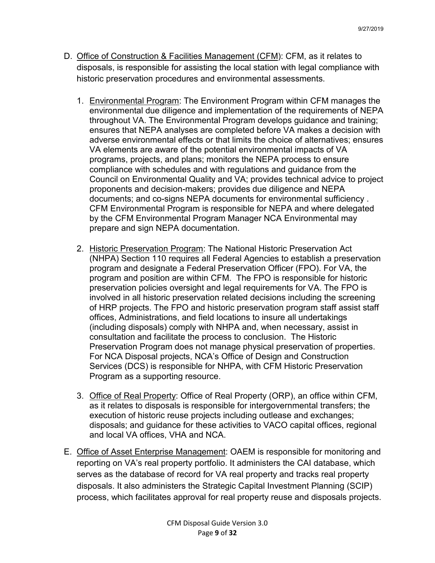- D. Office of Construction & Facilities Management (CFM): CFM, as it relates to disposals, is responsible for assisting the local station with legal compliance with historic preservation procedures and environmental assessments.
	- 1. Environmental Program: The Environment Program within CFM manages the environmental due diligence and implementation of the requirements of NEPA throughout VA. The Environmental Program develops guidance and training; ensures that NEPA analyses are completed before VA makes a decision with adverse environmental effects or that limits the choice of alternatives; ensures VA elements are aware of the potential environmental impacts of VA programs, projects, and plans; monitors the NEPA process to ensure compliance with schedules and with regulations and guidance from the Council on Environmental Quality and VA; provides technical advice to project proponents and decision-makers; provides due diligence and NEPA documents; and co-signs NEPA documents for environmental sufficiency . CFM Environmental Program is responsible for NEPA and where delegated by the CFM Environmental Program Manager NCA Environmental may prepare and sign NEPA documentation.
	- 2. Historic Preservation Program: The National Historic Preservation Act (NHPA) Section 110 requires all Federal Agencies to establish a preservation program and designate a Federal Preservation Officer (FPO). For VA, the program and position are within CFM. The FPO is responsible for historic preservation policies oversight and legal requirements for VA. The FPO is involved in all historic preservation related decisions including the screening of HRP projects. The FPO and historic preservation program staff assist staff offices, Administrations, and field locations to insure all undertakings (including disposals) comply with NHPA and, when necessary, assist in consultation and facilitate the process to conclusion. The Historic Preservation Program does not manage physical preservation of properties. For NCA Disposal projects, NCA's Office of Design and Construction Services (DCS) is responsible for NHPA, with CFM Historic Preservation Program as a supporting resource.
	- 3. Office of Real Property: Office of Real Property (ORP), an office within CFM, as it relates to disposals is responsible for intergovernmental transfers; the execution of historic reuse projects including outlease and exchanges; disposals; and guidance for these activities to VACO capital offices, regional and local VA offices, VHA and NCA.
- E. Office of Asset Enterprise Management: OAEM is responsible for monitoring and reporting on VA's real property portfolio. It administers the CAI database, which serves as the database of record for VA real property and tracks real property disposals. It also administers the Strategic Capital Investment Planning (SCIP) process, which facilitates approval for real property reuse and disposals projects.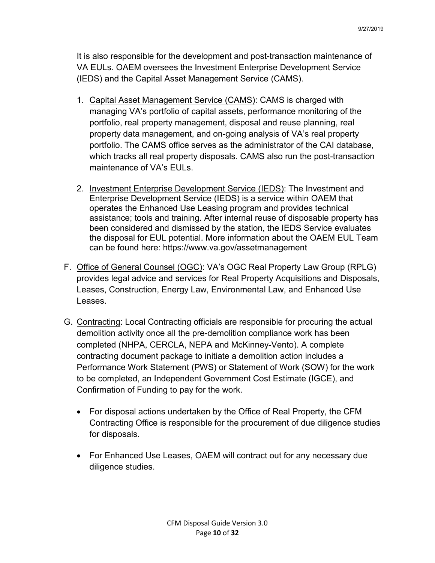It is also responsible for the development and post-transaction maintenance of VA EULs. OAEM oversees the Investment Enterprise Development Service (IEDS) and the Capital Asset Management Service (CAMS).

- 1. Capital Asset Management Service (CAMS): CAMS is charged with managing VA's portfolio of capital assets, performance monitoring of the portfolio, real property management, disposal and reuse planning, real property data management, and on-going analysis of VA's real property portfolio. The CAMS office serves as the administrator of the CAI database, which tracks all real property disposals. CAMS also run the post-transaction maintenance of VA's EULs.
- 2. Investment Enterprise Development Service (IEDS): The [Investment and](https://www.va.gov/oaem/about/ieds.asp)  [Enterprise Development Service](https://www.va.gov/oaem/about/ieds.asp) (IEDS) is a service within OAEM that operates the Enhanced Use Leasing program and provides technical assistance; tools and training. After internal reuse of disposable property has been considered and dismissed by the station, the IEDS Service evaluates the disposal for EUL potential. More information about the OAEM EUL Team can be found here:<https://www.va.gov/assetmanagement>
- F. Office of General Counsel (OGC): VA's OGC Real Property Law Group (RPLG) provides legal advice and services for Real Property Acquisitions and Disposals, Leases, Construction, Energy Law, Environmental Law, and Enhanced Use Leases.
- <span id="page-9-0"></span>G. Contracting: Local Contracting officials are responsible for procuring the actual demolition activity once all the pre-demolition compliance work has been completed (NHPA, CERCLA, NEPA and McKinney-Vento). A complete contracting document package to initiate a demolition action includes a Performance Work Statement (PWS) or Statement of Work (SOW) for the work to be completed, an Independent Government Cost Estimate (IGCE), and Confirmation of Funding to pay for the work.
	- For disposal actions undertaken by the Office of Real Property, the CFM Contracting Office is responsible for the procurement of due diligence studies for disposals.
	- For Enhanced Use Leases, OAEM will contract out for any necessary due diligence studies.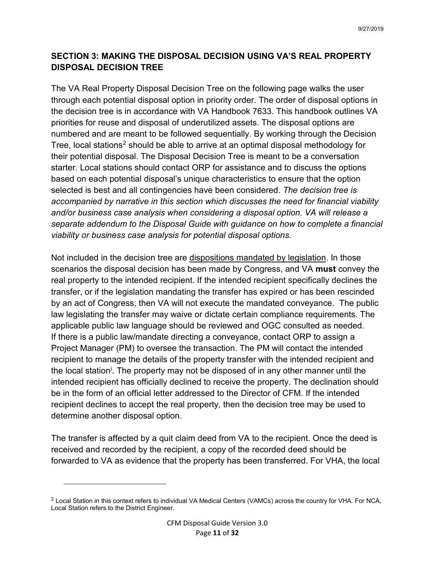# <span id="page-10-0"></span>**SECTION 3: MAKING THE DISPOSAL DECISION USING VA'S REAL PROPERTY DISPOSAL DECISION TREE**

The VA Real Property Disposal Decision Tree on the following page walks the user through each potential disposal option in priority order. The order of disposal options in the decision tree is in accordance with VA Handbook 7633. This handbook outlines VA priorities for reuse and disposal of underutilized assets. The disposal options are numbered and are meant to be followed sequentially. By working through the Decision Tree, local stations<sup>[2](#page-10-1)</sup> should be able to arrive at an optimal disposal methodology for their potential disposal. The Disposal Decision Tree is meant to be a conversation starter. Local stations should contact ORP for assistance and to discuss the options based on each potential disposal's unique characteristics to ensure that the option selected is best and all contingencies have been considered. *The decision tree is accompanied by narrative in this section which discusses the need for financial viability and/or business case analysis when considering a disposal option. VA will release a separate addendum to the Disposal Guide with guidance on how to complete a financial viability or business case analysis for potential disposal options.* 

Not included in the decision tree are dispositions mandated by legislation. In those scenarios the disposal decision has been made by Congress, and VA **must** convey the real property to the intended recipient. If the intended recipient specifically declines the transfer, or if the legislation mandating the transfer has expired or has been rescinded by an act of Congress, then VA will not execute the mandated conveyance. The public law legislating the transfer may waive or dictate certain compliance requirements. The applicable public law language should be reviewed and OGC consulted as needed. If there is a public law/mandate directing a conveyance, contact ORP to assign a Project Manager (PM) to oversee the transaction. The PM will contact the intended recipient to manage the details of the property transfer with the intended recipient and the local stat[i](#page-31-0)on<sup>i</sup>. The property may not be disposed of in any other manner until the intended recipient has officially declined to receive the property. The declination should be in the form of an official letter addressed to the Director of CFM. If the intended recipient declines to accept the real property, then the decision tree may be used to determine another disposal option.

The transfer is affected by a quit claim deed from VA to the recipient. Once the deed is received and recorded by the recipient, a copy of the recorded deed should be forwarded to VA as evidence that the property has been transferred. For VHA, the local

 $\overline{a}$ 

<span id="page-10-1"></span><sup>2</sup> Local Station in this context refers to individual VA Medical Centers (VAMCs) across the country for VHA. For NCA, Local Station refers to the District Engineer.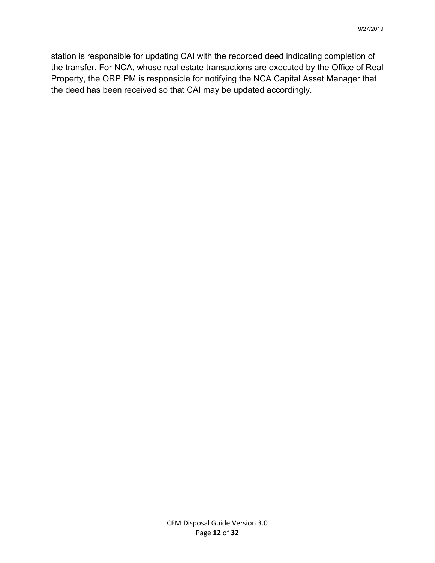station is responsible for updating CAI with the recorded deed indicating completion of the transfer. For NCA, whose real estate transactions are executed by the Office of Real Property, the ORP PM is responsible for notifying the NCA Capital Asset Manager that the deed has been received so that CAI may be updated accordingly.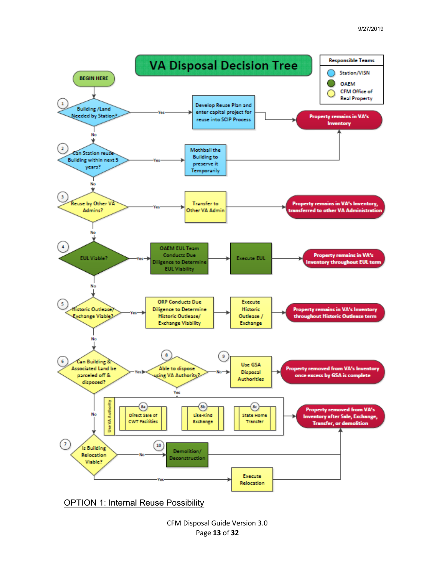

**OPTION 1: Internal Reuse Possibility** 

CFM Disposal Guide Version 3.0 Page **13** of **32**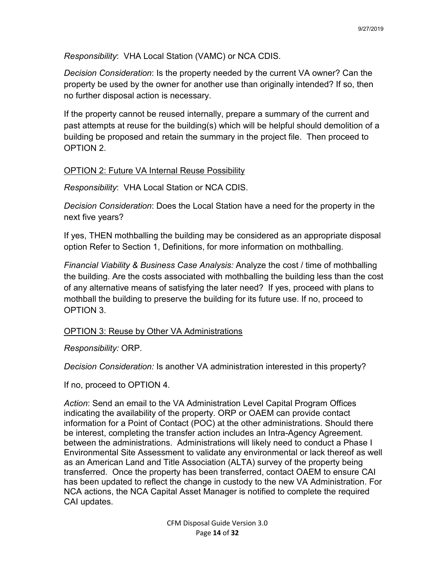*Responsibility*: VHA Local Station (VAMC) or NCA CDIS.

*Decision Consideration*: Is the property needed by the current VA owner? Can the property be used by the owner for another use than originally intended? If so, then no further disposal action is necessary.

If the property cannot be reused internally, prepare a summary of the current and past attempts at reuse for the building(s) which will be helpful should demolition of a building be proposed and retain the summary in the project file. Then proceed to OPTION 2.

#### OPTION 2: Future VA Internal Reuse Possibility

*Responsibility*: VHA Local Station or NCA CDIS.

*Decision Consideration*: Does the Local Station have a need for the property in the next five years?

If yes, THEN mothballing the building may be considered as an appropriate disposal option Refer to Section 1, Definitions, for more information on mothballing.

*Financial Viability & Business Case Analysis:* Analyze the cost / time of mothballing the building. Are the costs associated with mothballing the building less than the cost of any alternative means of satisfying the later need? If yes, proceed with plans to mothball the building to preserve the building for its future use. If no, proceed to OPTION 3.

#### OPTION 3: Reuse by Other VA Administrations

*Responsibility:* ORP.

*Decision Consideration:* Is another VA administration interested in this property?

If no, proceed to OPTION 4*.*

*Action*: Send an email to the VA Administration Level Capital Program Offices indicating the availability of the property. ORP or OAEM can provide contact information for a Point of Contact (POC) at the other administrations. Should there be interest, completing the transfer action includes an Intra-Agency Agreement. between the administrations. Administrations will likely need to conduct a Phase I Environmental Site Assessment to validate any environmental or lack thereof as well as an American Land and Title Association (ALTA) survey of the property being transferred. Once the property has been transferred, contact OAEM to ensure CAI has been updated to reflect the change in custody to the new VA Administration. For NCA actions, the NCA Capital Asset Manager is notified to complete the required CAI updates.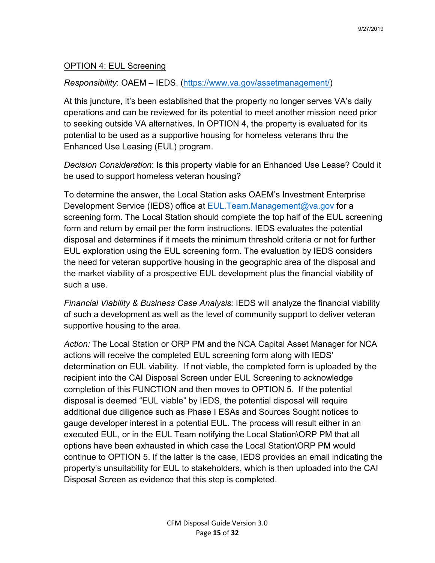# OPTION 4: EUL Screening

### *Responsibility*: OAEM – IEDS. [\(https://www.va.gov/assetmanagement/\)](https://www.va.gov/assetmanagement/)

At this juncture, it's been established that the property no longer serves VA's daily operations and can be reviewed for its potential to meet another mission need prior to seeking outside VA alternatives. In OPTION 4, the property is evaluated for its potential to be used as a supportive housing for homeless veterans thru the Enhanced Use Leasing (EUL) program.

*Decision Consideration*: Is this property viable for an Enhanced Use Lease? Could it be used to support homeless veteran housing?

To determine the answer, the Local Station asks OAEM's Investment Enterprise Development Service (IEDS) office at **EUL. Team. Management@va.gov** for a screening form. The Local Station should complete the top half of the EUL screening form and return by email per the form instructions. IEDS evaluates the potential disposal and determines if it meets the minimum threshold criteria or not for further EUL exploration using the EUL screening form. The evaluation by IEDS considers the need for veteran supportive housing in the geographic area of the disposal and the market viability of a prospective EUL development plus the financial viability of such a use.

*Financial Viability & Business Case Analysis:* IEDS will analyze the financial viability of such a development as well as the level of community support to deliver veteran supportive housing to the area.

*Action:* The Local Station or ORP PM and the NCA Capital Asset Manager for NCA actions will receive the completed EUL screening form along with IEDS' determination on EUL viability. If not viable, the completed form is uploaded by the recipient into the CAI Disposal Screen under EUL Screening to acknowledge completion of this FUNCTION and then moves to OPTION 5. If the potential disposal is deemed "EUL viable" by IEDS, the potential disposal will require additional due diligence such as Phase I ESAs and Sources Sought notices to gauge developer interest in a potential EUL. The process will result either in an executed EUL, or in the EUL Team notifying the Local Station\ORP PM that all options have been exhausted in which case the Local Station\ORP PM would continue to OPTION 5. If the latter is the case, IEDS provides an email indicating the property's unsuitability for EUL to stakeholders, which is then uploaded into the CAI Disposal Screen as evidence that this step is completed.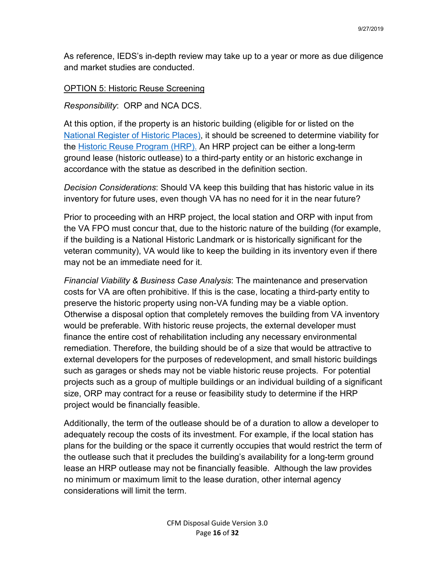As reference, IEDS's in-depth review may take up to a year or more as due diligence and market studies are conducted.

#### OPTION 5: Historic Reuse Screening

*Responsibility*: ORP and NCA DCS.

At this option, if the property is an historic building (eligible for or listed on the [National Register of Historic Places\)](#page-5-0), it should be screened to determine viability for the [Historic Reuse Program \(HRP\).](#page-4-0) An HRP project can be either a long-term ground lease (historic outlease) to a third-party entity or an historic exchange in accordance with the statue as described in the definition section.

*Decision Considerations*: Should VA keep this building that has historic value in its inventory for future uses, even though VA has no need for it in the near future?

Prior to proceeding with an HRP project, the local station and ORP with input from the VA FPO must concur that, due to the historic nature of the building (for example, if the building is a National Historic Landmark or is historically significant for the veteran community), VA would like to keep the building in its inventory even if there may not be an immediate need for it.

*Financial Viability & Business Case Analysis*: The maintenance and preservation costs for VA are often prohibitive. If this is the case, locating a third-party entity to preserve the historic property using non-VA funding may be a viable option. Otherwise a disposal option that completely removes the building from VA inventory would be preferable. With historic reuse projects, the external developer must finance the entire cost of rehabilitation including any necessary environmental remediation. Therefore, the building should be of a size that would be attractive to external developers for the purposes of redevelopment, and small historic buildings such as garages or sheds may not be viable historic reuse projects. For potential projects such as a group of multiple buildings or an individual building of a significant size, ORP may contract for a reuse or feasibility study to determine if the HRP project would be financially feasible.

Additionally, the term of the outlease should be of a duration to allow a developer to adequately recoup the costs of its investment. For example, if the local station has plans for the building or the space it currently occupies that would restrict the term of the outlease such that it precludes the building's availability for a long-term ground lease an HRP outlease may not be financially feasible. Although the law provides no minimum or maximum limit to the lease duration, other internal agency considerations will limit the term.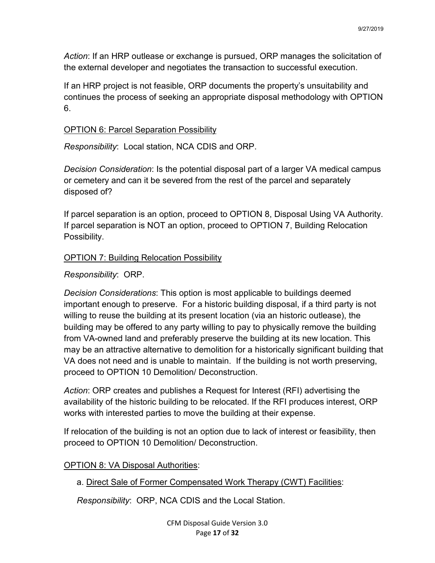*Action*: If an HRP outlease or exchange is pursued, ORP manages the solicitation of the external developer and negotiates the transaction to successful execution.

If an HRP project is not feasible, ORP documents the property's unsuitability and continues the process of seeking an appropriate disposal methodology with OPTION 6.

#### OPTION 6: Parcel Separation Possibility

<span id="page-16-0"></span>*Responsibility*: Local station, NCA CDIS and ORP.

*Decision Consideration*: Is the potential disposal part of a larger VA medical campus or cemetery and can it be severed from the rest of the parcel and separately disposed of?

If parcel separation is an option, proceed to OPTION 8, Disposal Using VA Authority. If parcel separation is NOT an option, proceed to [OPTION 7, Building Relocation](#page-16-0) Possibility.

#### OPTION 7: Building Relocation Possibility

#### *Responsibility*: ORP.

*Decision Considerations*: This option is most applicable to buildings deemed important enough to preserve. For a historic building disposal, if a third party is not willing to reuse the building at its present location (via an historic outlease), the building may be offered to any party willing to pay to physically remove the building from VA-owned land and preferably preserve the building at its new location. This may be an attractive alternative to demolition for a historically significant building that VA does not need and is unable to maintain. If the building is not worth preserving, proceed to OPTION 10 Demolition/ Deconstruction.

*Action*: ORP creates and publishes a Request for Interest (RFI) advertising the availability of the historic building to be relocated. If the RFI produces interest, ORP works with interested parties to move the building at their expense.

If relocation of the building is not an option due to lack of interest or feasibility, then proceed to OPTION 10 Demolition/ Deconstruction.

# OPTION 8: VA Disposal Authorities:

a. Direct Sale of Former Compensated Work Therapy (CWT) Facilities:

*Responsibility*: ORP, NCA CDIS and the Local Station.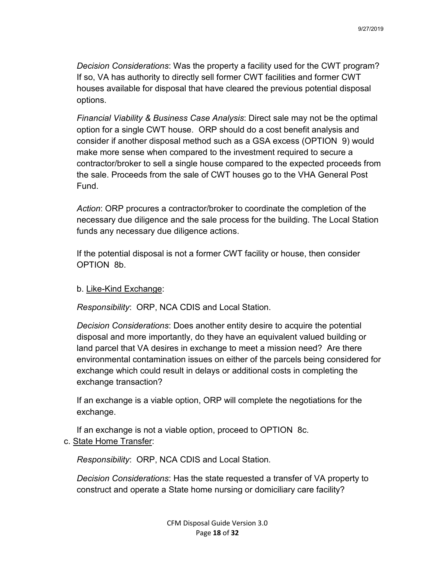*Decision Considerations*: Was the property a facility used for the CWT program? If so, VA has authority to directly sell former CWT facilities and former CWT houses available for disposal that have cleared the previous potential disposal options.

*Financial Viability & Business Case Analysis*: Direct sale may not be the optimal option for a single CWT house. ORP should do a cost benefit analysis and consider if another disposal method such as a GSA excess (OPTION 9) would make more sense when compared to the investment required to secure a contractor/broker to sell a single house compared to the expected proceeds from the sale. Proceeds from the sale of CWT houses go to the VHA General Post Fund.

*Action*: ORP procures a contractor/broker to coordinate the completion of the necessary due diligence and the sale process for the building. The Local Station funds any necessary due diligence actions.

If the potential disposal is not a former CWT facility or house, then consider OPTION 8b.

#### b. Like-Kind Exchange:

*Responsibility*: ORP, NCA CDIS and Local Station.

*Decision Considerations*: Does another entity desire to acquire the potential disposal and more importantly, do they have an equivalent valued building or land parcel that VA desires in exchange to meet a mission need? Are there environmental contamination issues on either of the parcels being considered for exchange which could result in delays or additional costs in completing the exchange transaction?

If an exchange is a viable option, ORP will complete the negotiations for the exchange.

If an exchange is not a viable option, proceed to OPTION 8c.

#### c. State Home Transfer:

*Responsibility*: ORP, NCA CDIS and Local Station*.* 

*Decision Considerations*: Has the state requested a transfer of VA property to construct and operate a State home nursing or domiciliary care facility?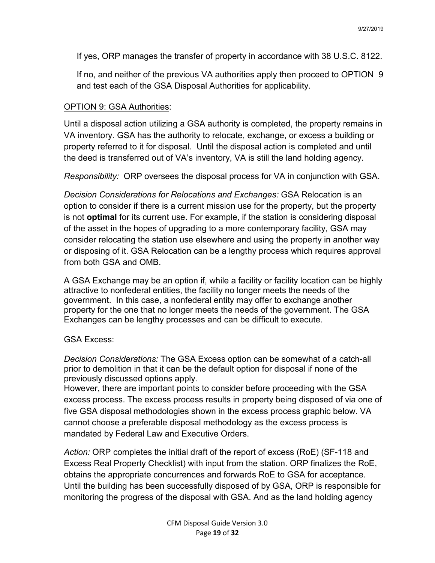If yes, ORP manages the transfer of property in accordance with 38 U.S.C. 8122.

If no, and neither of the previous VA authorities apply then proceed to OPTION 9 and test each of the GSA Disposal Authorities for applicability.

#### OPTION 9: GSA Authorities:

Until a disposal action utilizing a GSA authority is completed, the property remains in VA inventory. GSA has the authority to relocate, exchange, or excess a building or property referred to it for disposal. Until the disposal action is completed and until the deed is transferred out of VA's inventory, VA is still the land holding agency.

*Responsibility:* ORP oversees the disposal process for VA in conjunction with GSA.

*Decision Considerations for Relocations and Exchanges:* GSA Relocation is an option to consider if there is a current mission use for the property, but the property is not **optimal** for its current use. For example, if the station is considering disposal of the asset in the hopes of upgrading to a more contemporary facility, GSA may consider relocating the station use elsewhere and using the property in another way or disposing of it. GSA Relocation can be a lengthy process which requires approval from both GSA and OMB.

A GSA Exchange may be an option if, while a facility or facility location can be highly attractive to nonfederal entities, the facility no longer meets the needs of the government. In this case, a nonfederal entity may offer to exchange another property for the one that no longer meets the needs of the government. The GSA Exchanges can be lengthy processes and can be difficult to execute.

#### GSA Excess:

*Decision Considerations:* The GSA Excess option can be somewhat of a catch-all prior to demolition in that it can be the default option for disposal if none of the previously discussed options apply.

However, there are important points to consider before proceeding with the GSA excess process. The excess process results in property being disposed of via one of five GSA disposal methodologies shown in the excess process graphic below. VA cannot choose a preferable disposal methodology as the excess process is mandated by Federal Law and Executive Orders.

*Action:* ORP completes the initial draft of the report of excess (RoE) (SF-118 and Excess Real Property Checklist) with input from the station. ORP finalizes the RoE, obtains the appropriate concurrences and forwards RoE to GSA for acceptance. Until the building has been successfully disposed of by GSA, ORP is responsible for monitoring the progress of the disposal with GSA. And as the land holding agency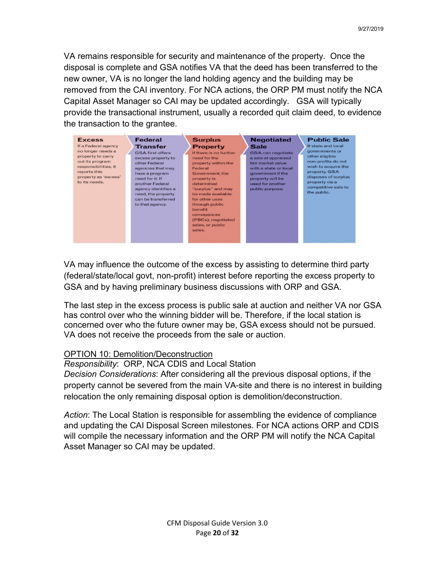VA remains responsible for security and maintenance of the property. Once the disposal is complete and GSA notifies VA that the deed has been transferred to the new owner, VA is no longer the land holding agency and the building may be removed from the CAI inventory. For NCA actions, the ORP PM must notify the NCA Capital Asset Manager so CAI may be updated accordingly. GSA will typically provide the transactional instrument, usually a recorded quit claim deed, to evidence the transaction to the grantee.



VA may influence the outcome of the excess by assisting to determine third party (federal/state/local govt, non-profit) interest before reporting the excess property to GSA and by having preliminary business discussions with ORP and GSA.

The last step in the excess process is public sale at auction and neither VA nor GSA has control over who the winning bidder will be. Therefore, if the local station is concerned over who the future owner may be, GSA excess should not be pursued. VA does not receive the proceeds from the sale or auction.

#### OPTION 10: Demolition/Deconstruction

*Responsibility*: ORP, NCA CDIS and Local Station

*Decision Considerations*: After considering all the previous disposal options, if the property cannot be severed from the main VA-site and there is no interest in building relocation the only remaining disposal option is demolition/deconstruction.

<span id="page-19-0"></span>*Action*: The Local Station is responsible for assembling the evidence of compliance and updating the CAI Disposal Screen milestones. For NCA actions ORP and CDIS will compile the necessary information and the ORP PM will notify the NCA Capital Asset Manager so CAI may be updated.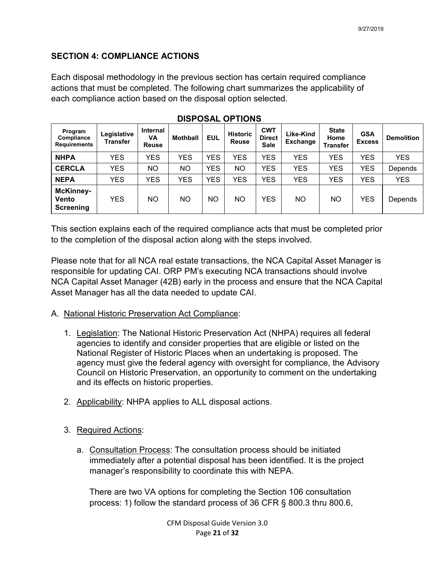# <span id="page-20-0"></span>**SECTION 4: COMPLIANCE ACTIONS**

Each disposal methodology in the previous section has certain required compliance actions that must be completed. The following chart summarizes the applicability of each compliance action based on the disposal option selected.

| Program<br>Compliance<br><b>Requirements</b>         | Legislative<br><b>Transfer</b> | Internal<br>VA<br><b>Reuse</b> | <b>Mothball</b> | <b>EUL</b> | <b>Historic</b><br>Reuse | <b>CWT</b><br><b>Direct</b><br><b>Sale</b> | Like-Kind<br><b>Exchange</b> | <b>State</b><br>Home<br><b>Transfer</b> | <b>GSA</b><br><b>Excess</b> | <b>Demolition</b> |
|------------------------------------------------------|--------------------------------|--------------------------------|-----------------|------------|--------------------------|--------------------------------------------|------------------------------|-----------------------------------------|-----------------------------|-------------------|
| <b>NHPA</b>                                          | <b>YES</b>                     | <b>YES</b>                     | <b>YES</b>      | <b>YES</b> | <b>YES</b>               | YES                                        | <b>YES</b>                   | <b>YES</b>                              | <b>YES</b>                  | <b>YES</b>        |
| <b>CERCLA</b>                                        | <b>YES</b>                     | ΝO                             | NO              | <b>YES</b> | NO.                      | YES                                        | <b>YES</b>                   | <b>YES</b>                              | <b>YES</b>                  | Depends           |
| <b>NEPA</b>                                          | <b>YES</b>                     | <b>YES</b>                     | <b>YES</b>      | YES        | <b>YES</b>               | YES                                        | <b>YES</b>                   | <b>YES</b>                              | <b>YES</b>                  | <b>YES</b>        |
| <b>McKinney-</b><br><b>Vento</b><br><b>Screening</b> | YES.                           | ΝO                             | <b>NO</b>       | NO         | <b>NO</b>                | YES                                        | ΝO                           | <b>NO</b>                               | <b>YES</b>                  | Depends           |

**DISPOSAL OPTIONS**

This section explains each of the required compliance acts that must be completed prior to the completion of the disposal action along with the steps involved.

Please note that for all NCA real estate transactions, the NCA Capital Asset Manager is responsible for updating CAI. ORP PM's executing NCA transactions should involve NCA Capital Asset Manager (42B) early in the process and ensure that the NCA Capital Asset Manager has all the data needed to update CAI.

- A. National Historic Preservation Act Compliance:
	- 1. Legislation: The National Historic Preservation Act (NHPA) requires all federal agencies to identify and consider properties that are eligible or listed on the National Register of Historic Places when an undertaking is proposed. The agency must give the federal agency with oversight for compliance, the Advisory Council on Historic Preservation, an opportunity to comment on the undertaking and its effects on historic properties.
	- 2. Applicability: NHPA applies to ALL disposal actions.
	- 3. Required Actions:
		- a. Consultation Process: The consultation process should be initiated immediately after a potential disposal has been identified. It is the project manager's responsibility to coordinate this with NEPA.

There are two VA options for completing the Section 106 consultation process: 1) follow the standard process of 36 CFR § 800.3 thru 800.6,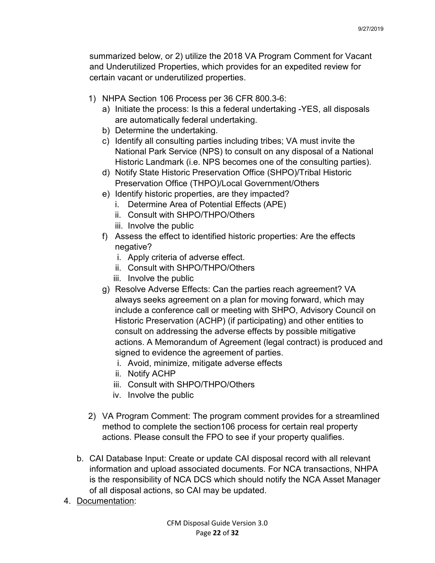summarized below, or 2) utilize the 2018 VA Program Comment for Vacant and Underutilized Properties, which provides for an expedited review for certain vacant or underutilized properties.

- 1) NHPA Section 106 Process per 36 CFR 800.3-6:
	- a) Initiate the process: Is this a federal undertaking -YES, all disposals are automatically federal undertaking.
	- b) Determine the undertaking.
	- c) Identify all consulting parties including tribes; VA must invite the National Park Service (NPS) to consult on any disposal of a National Historic Landmark (i.e. NPS becomes one of the consulting parties).
	- d) Notify State Historic Preservation Office (SHPO)/Tribal Historic Preservation Office (THPO)/Local Government/Others
	- e) Identify historic properties, are they impacted?
		- i. Determine Area of Potential Effects (APE)
		- ii. Consult with SHPO/THPO/Others
		- iii. Involve the public
	- f) Assess the effect to identified historic properties: Are the effects negative?
		- i. Apply criteria of adverse effect.
		- ii. Consult with SHPO/THPO/Others
		- iii. Involve the public
	- g) Resolve Adverse Effects: Can the parties reach agreement? VA always seeks agreement on a plan for moving forward, which may include a conference call or meeting with SHPO, Advisory Council on Historic Preservation (ACHP) (if participating) and other entities to consult on addressing the adverse effects by possible mitigative actions. A Memorandum of Agreement (legal contract) is produced and signed to evidence the agreement of parties.
		- i. Avoid, minimize, mitigate adverse effects
		- ii. Notify ACHP
		- iii. Consult with SHPO/THPO/Others
		- iv. Involve the public
- 2) VA Program Comment: The program comment provides for a streamlined method to complete the section106 process for certain real property actions. Please consult the FPO to see if your property qualifies.
- b. CAI Database Input: Create or update CAI disposal record with all relevant information and upload associated documents. For NCA transactions, NHPA is the responsibility of NCA DCS which should notify the NCA Asset Manager of all disposal actions, so CAI may be updated.
- 4. Documentation: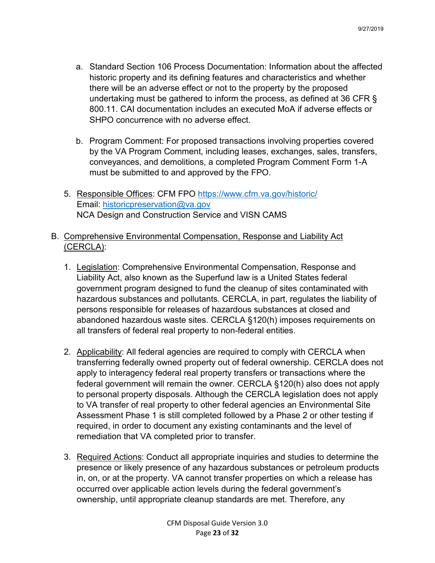- a. Standard Section 106 Process Documentation: Information about the affected historic property and its defining features and characteristics and whether there will be an adverse effect or not to the property by the proposed undertaking must be gathered to inform the process, as defined at 36 CFR § 800.11. CAI documentation includes an executed MoA if adverse effects or SHPO concurrence with no adverse effect.
- b. Program Comment: For proposed transactions involving properties covered by the VA Program Comment, including leases, exchanges, sales, transfers, conveyances, and demolitions, a completed Program Comment Form 1-A must be submitted to and approved by the FPO.
- 5. Responsible Offices: CFM FPO<https://www.cfm.va.gov/historic/> Email: [historicpreservation@va.gov](mailto:historicpreservation@va.gov) NCA Design and Construction Service and VISN CAMS
- B. Comprehensive Environmental Compensation, Response and Liability Act (CERCLA):
	- 1. Legislation: Comprehensive Environmental Compensation, Response and Liability Act, also known as the Superfund law is a United States federal government program designed to fund the cleanup of sites contaminated with hazardous substances and pollutants. CERCLA, in part, regulates the liability of persons responsible for releases of hazardous substances at closed and abandoned hazardous waste sites. CERCLA §120(h) imposes requirements on all transfers of federal real property to non-federal entities.
	- 2. Applicability: All federal agencies are required to comply with CERCLA when transferring federally owned property out of federal ownership. CERCLA does not apply to interagency federal real property transfers or transactions where the federal government will remain the owner. CERCLA §120(h) also does not apply to personal property disposals. Although the CERCLA legislation does not apply to VA transfer of real property to other federal agencies an Environmental Site Assessment Phase 1 is still completed followed by a Phase 2 or other testing if required, in order to document any existing contaminants and the level of remediation that VA completed prior to transfer.
	- 3. Required Actions: Conduct all appropriate inquiries and studies to determine the presence or likely presence of any hazardous substances or petroleum products in, on, or at the property. VA cannot transfer properties on which a release has occurred over applicable action levels during the federal government's ownership, until appropriate cleanup standards are met. Therefore, any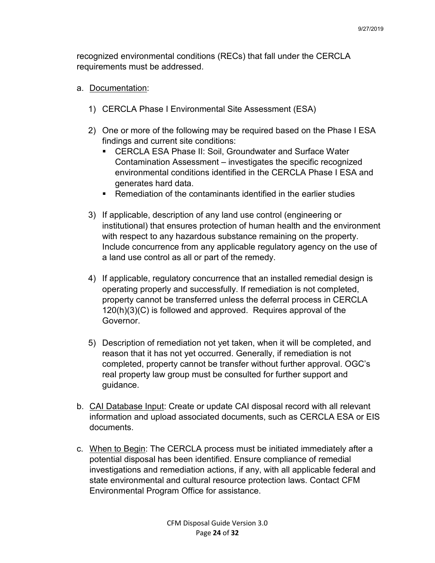recognized environmental conditions (RECs) that fall under the CERCLA requirements must be addressed.

- a. Documentation:
	- 1) CERCLA Phase I Environmental Site Assessment (ESA)
	- 2) One or more of the following may be required based on the Phase I ESA findings and current site conditions:
		- CERCLA ESA Phase II: Soil, Groundwater and Surface Water Contamination Assessment – investigates the specific recognized environmental conditions identified in the CERCLA Phase I ESA and generates hard data.
		- Remediation of the contaminants identified in the earlier studies
	- 3) If applicable, description of any land use control (engineering or institutional) that ensures protection of human health and the environment with respect to any hazardous substance remaining on the property. Include concurrence from any applicable regulatory agency on the use of a land use control as all or part of the remedy.
	- 4) If applicable, regulatory concurrence that an installed remedial design is operating properly and successfully. If remediation is not completed, property cannot be transferred unless the deferral process in CERCLA 120(h)(3)(C) is followed and approved. Requires approval of the Governor.
	- 5) Description of remediation not yet taken, when it will be completed, and reason that it has not yet occurred. Generally, if remediation is not completed, property cannot be transfer without further approval. OGC's real property law group must be consulted for further support and guidance.
- b. CAI Database Input: Create or update CAI disposal record with all relevant information and upload associated documents, such as CERCLA ESA or EIS documents.
- c. When to Begin: The CERCLA process must be initiated immediately after a potential disposal has been identified. Ensure compliance of remedial investigations and remediation actions, if any, with all applicable federal and state environmental and cultural resource protection laws. Contact CFM Environmental Program Office for assistance.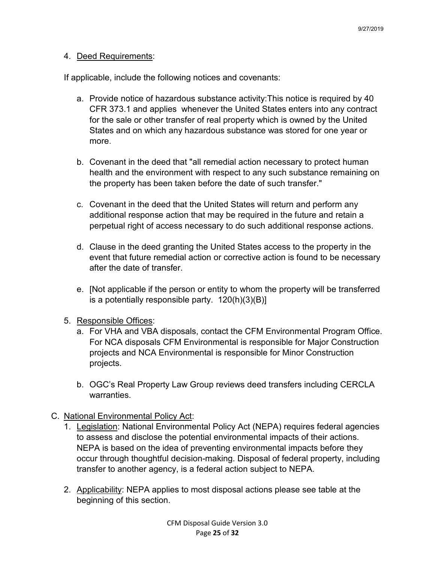#### 4. Deed Requirements:

If applicable, include the following notices and covenants:

- a. Provide notice of hazardous substance activity:This notice is required by [40](https://www.law.cornell.edu/cfr/text/40/373.1)  [CFR 373.1](https://www.law.cornell.edu/cfr/text/40/373.1) and applies whenever the United States enters into any contract for the sale or other transfer of real property which is owned by the United States and on which any hazardous substance was stored for one year or more.
- b. Covenant in the deed that "all remedial action necessary to protect human health and the environment with respect to any such substance remaining on the property has been taken before the date of such transfer."
- c. Covenant in the deed that the United States will return and perform any additional response action that may be required in the future and retain a perpetual right of access necessary to do such additional response actions.
- d. Clause in the deed granting the United States access to the property in the event that future remedial action or corrective action is found to be necessary after the date of transfer.
- e. [Not applicable if the person or entity to whom the property will be transferred is a potentially responsible party. 120(h)(3)(B)]
- 5. Responsible Offices:
	- a. For VHA and VBA disposals, contact the CFM Environmental Program Office. For NCA disposals CFM Environmental is responsible for Major Construction projects and NCA Environmental is responsible for Minor Construction projects.
	- b. OGC's Real Property Law Group reviews deed transfers including CERCLA warranties.
- C. National Environmental Policy Act:
	- 1. Legislation: National Environmental Policy Act (NEPA) requires federal agencies to assess and disclose the potential environmental impacts of their actions. NEPA is based on the idea of preventing environmental impacts before they occur through thoughtful decision-making. Disposal of federal property, including transfer to another agency, is a federal action subject to NEPA.
	- 2. Applicability: NEPA applies to most disposal actions please see table at the beginning of this section.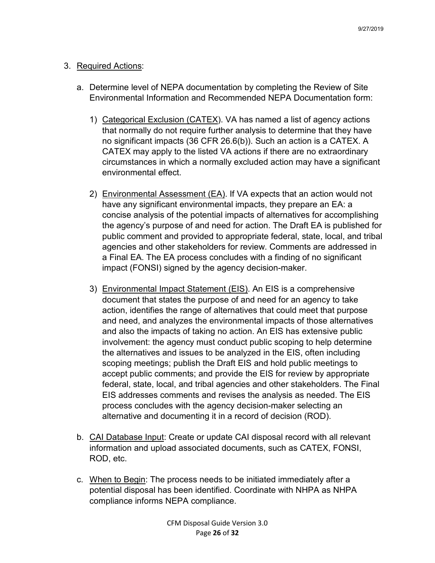#### 3. Required Actions:

- a. Determine level of NEPA documentation by completing the Review of Site Environmental Information and Recommended NEPA Documentation form:
	- 1) Categorical Exclusion (CATEX). VA has named a list of agency actions that normally do not require further analysis to determine that they have no significant impacts (36 CFR 26.6(b)). Such an action is a CATEX. A CATEX may apply to the listed VA actions if there are no extraordinary circumstances in which a normally excluded action may have a significant environmental effect.
	- 2) Environmental Assessment (EA). If VA expects that an action would not have any significant environmental impacts, they prepare an EA: a concise analysis of the potential impacts of alternatives for accomplishing the agency's purpose of and need for action. The Draft EA is published for public comment and provided to appropriate federal, state, local, and tribal agencies and other stakeholders for review. Comments are addressed in a Final EA. The EA process concludes with a finding of no significant impact (FONSI) signed by the agency decision-maker.
	- 3) Environmental Impact Statement (EIS). An EIS is a comprehensive document that states the purpose of and need for an agency to take action, identifies the range of alternatives that could meet that purpose and need, and analyzes the environmental impacts of those alternatives and also the impacts of taking no action. An EIS has extensive public involvement: the agency must conduct public scoping to help determine the alternatives and issues to be analyzed in the EIS, often including scoping meetings; publish the Draft EIS and hold public meetings to accept public comments; and provide the EIS for review by appropriate federal, state, local, and tribal agencies and other stakeholders. The Final EIS addresses comments and revises the analysis as needed. The EIS process concludes with the agency decision-maker selecting an alternative and documenting it in a record of decision (ROD).
- b. CAI Database Input: Create or update CAI disposal record with all relevant information and upload associated documents, such as CATEX, FONSI, ROD, etc.
- c. When to Begin: The process needs to be initiated immediately after a potential disposal has been identified. Coordinate with NHPA as NHPA compliance informs NEPA compliance.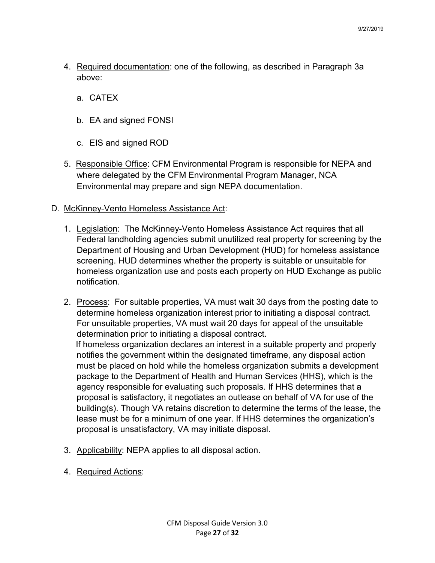- 4. Required documentation: one of the following, as described in Paragraph 3a above:
	- a. CATEX
	- b. EA and signed FONSI
	- c. EIS and signed ROD
- 5. Responsible Office: CFM Environmental Program is responsible for NEPA and where delegated by the CFM Environmental Program Manager, NCA Environmental may prepare and sign NEPA documentation.

# D. McKinney-Vento Homeless Assistance Act:

- 1. Legislation: The McKinney-Vento Homeless Assistance Act requires that all Federal landholding agencies submit unutilized real property for screening by the Department of Housing and Urban Development (HUD) for homeless assistance screening. HUD determines whether the property is suitable or unsuitable for homeless organization use and posts each property on [HUD Exchange](https://www.hudexchange.info/programs/title-v/) as public notification.
- 2. Process: For suitable properties, VA must wait 30 days from the posting date to determine homeless organization interest prior to initiating a disposal contract. For unsuitable properties, VA must wait 20 days for appeal of the unsuitable determination prior to initiating a disposal contract. If homeless organization declares an interest in a suitable property and properly notifies the government within the designated timeframe, any disposal action must be placed on hold while the homeless organization submits a development package to the Department of Health and Human Services (HHS), which is the agency responsible for evaluating such proposals. If HHS determines that a proposal is satisfactory, it negotiates an outlease on behalf of VA for use of the building(s). Though VA retains discretion to determine the terms of the lease, the lease must be for a minimum of one year. If HHS determines the organization's proposal is unsatisfactory, VA may initiate disposal.
- 3. Applicability: NEPA applies to all disposal action.
- 4. Required Actions: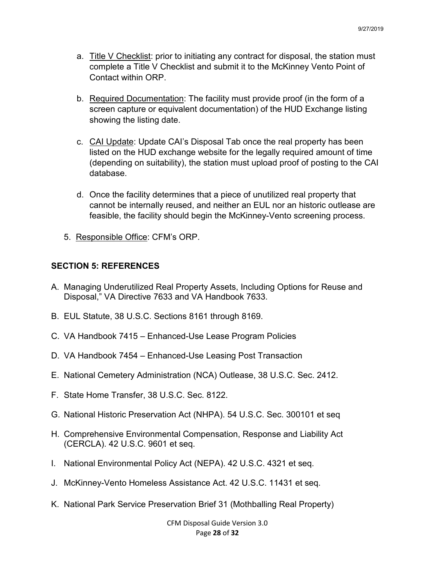- a. Title V Checklist: prior to initiating any contract for disposal, the station must complete a Title V Checklist and submit it to the McKinney Vento Point of Contact within ORP.
- b. Required Documentation: The facility must provide proof (in the form of a screen capture or equivalent documentation) of the HUD Exchange listing showing the listing date.
- c. CAI Update: Update CAI's Disposal Tab once the real property has been listed on the HUD exchange website for the legally required amount of time (depending on suitability), the station must upload proof of posting to the CAI database.
- d. Once the facility determines that a piece of unutilized real property that cannot be internally reused, and neither an EUL nor an historic outlease are feasible, the facility should begin the McKinney-Vento screening process.
- 5. Responsible Office: CFM's ORP.

#### <span id="page-27-0"></span>**SECTION 5: REFERENCES**

- A. Managing Underutilized Real Property Assets, Including Options for Reuse and Disposal," VA Directive 7633 and VA Handbook 7633.
- B. EUL Statute, 38 U.S.C. Sections 8161 through 8169.
- C. VA Handbook 7415 Enhanced-Use Lease Program Policies
- D. VA Handbook 7454 Enhanced-Use Leasing Post Transaction
- E. National Cemetery Administration (NCA) Outlease, 38 U.S.C. Sec. 2412.
- F. State Home Transfer, 38 U.S.C. Sec. 8122.
- G. National Historic Preservation Act (NHPA). 54 U.S.C. Sec. 300101 et seq
- H. Comprehensive Environmental Compensation, Response and Liability Act (CERCLA). 42 U.S.C. 9601 et seq.
- I. National Environmental Policy Act (NEPA). 42 U.S.C. 4321 et seq.
- J. McKinney-Vento Homeless Assistance Act. 42 U.S.C. 11431 et seq.
- K. National Park Service Preservation Brief 31 (Mothballing Real Property)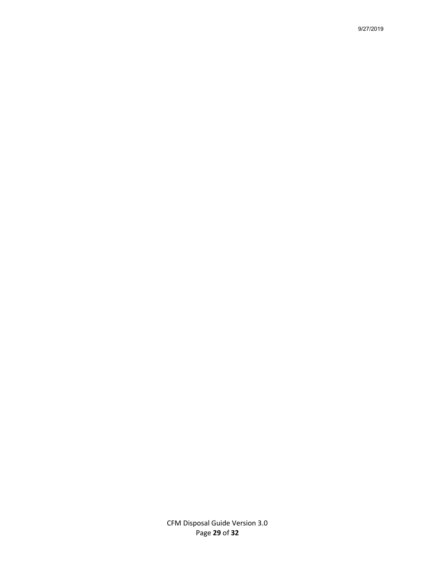9/27/2019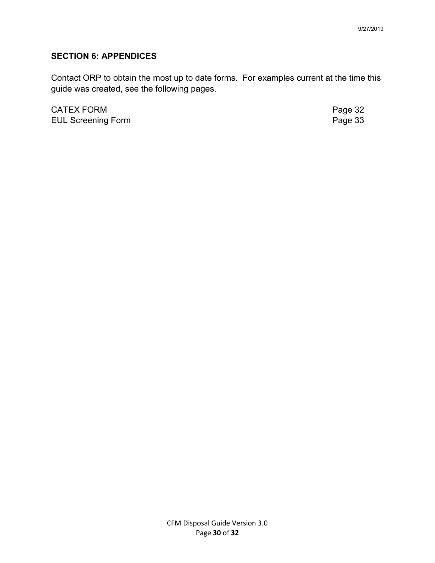# <span id="page-29-0"></span>**SECTION 6: APPENDICES**

Contact ORP to obtain the most up to date forms. For examples current at the time this guide was created, see the following pages.

CATEX FORM Page 32<br>
EUL Screening Form Page 33 EUL Screening Form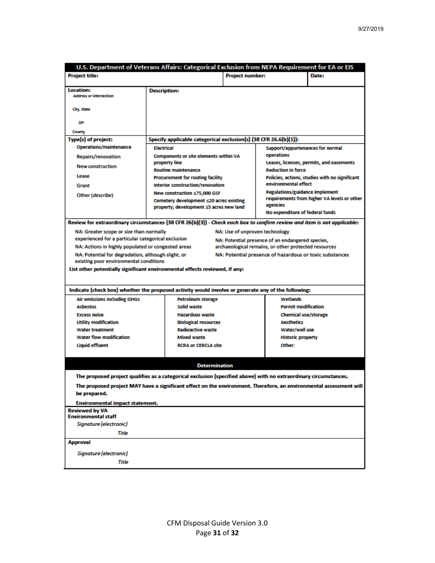| U.S. Department of Veterans Affairs: Categorical Exclusion from NEPA Requirement for EA or EIS                          |                                                            |                                                                                    |                                |                                                         |                                                |  |
|-------------------------------------------------------------------------------------------------------------------------|------------------------------------------------------------|------------------------------------------------------------------------------------|--------------------------------|---------------------------------------------------------|------------------------------------------------|--|
| <b>Project title:</b>                                                                                                   |                                                            |                                                                                    | <b>Project number:</b>         |                                                         | Date:                                          |  |
| <b>Location:</b>                                                                                                        |                                                            |                                                                                    |                                |                                                         |                                                |  |
| <b>Address or intersection</b>                                                                                          |                                                            | <b>Description:</b>                                                                |                                |                                                         |                                                |  |
|                                                                                                                         |                                                            |                                                                                    |                                |                                                         |                                                |  |
| City, State                                                                                                             |                                                            |                                                                                    |                                |                                                         |                                                |  |
| ZIP                                                                                                                     |                                                            |                                                                                    |                                |                                                         |                                                |  |
| County                                                                                                                  |                                                            |                                                                                    |                                |                                                         |                                                |  |
| Type(s) of project:                                                                                                     |                                                            | Specify applicable categorical exclusion(s) (38 CFR 26.6(b)(1)):                   |                                |                                                         |                                                |  |
| <b>Operations/maintenance</b>                                                                                           | <b>Electrical</b>                                          |                                                                                    |                                | Support/appurtenances for normal                        |                                                |  |
| <b>Repairs/renovation</b>                                                                                               | operations<br><b>Components or site elements within VA</b> |                                                                                    |                                |                                                         |                                                |  |
| <b>New construction</b>                                                                                                 |                                                            | property line                                                                      |                                |                                                         | Leases, licenses, permits, and easements       |  |
|                                                                                                                         |                                                            | <b>Routine maintenance</b>                                                         |                                | <b>Reduction in force</b>                               |                                                |  |
| Lease                                                                                                                   |                                                            | <b>Procurement for routing facility</b>                                            |                                |                                                         | Policies, actions, studies with no significant |  |
| Grant                                                                                                                   |                                                            | Interior construction/renovation                                                   |                                | environmental effect                                    |                                                |  |
| Other (describe)                                                                                                        |                                                            | New construction ≤75,000 GSF                                                       |                                | <b>Regulations/guidance implement</b>                   | requirements from higher VA levels or other    |  |
|                                                                                                                         |                                                            | Cemetery development ≤20 acres existing<br>property; development ≤5 acres new land |                                | agencies                                                |                                                |  |
|                                                                                                                         |                                                            |                                                                                    |                                | No expenditure of federal funds                         |                                                |  |
| Review for extraordinary circumstances (38 CFR 26(b)(3)) - Check each box to confirm review and item is not applicable: |                                                            |                                                                                    |                                |                                                         |                                                |  |
| NA: Greater scope or size than normally                                                                                 |                                                            |                                                                                    | NA: Use of unproven technology |                                                         |                                                |  |
| experienced for a particular categorical exclusion                                                                      |                                                            |                                                                                    |                                | NA: Potential presence of an endangered species,        |                                                |  |
| NA: Actions in highly populated or congested areas                                                                      |                                                            |                                                                                    |                                | archaeological remains, or other protected resources    |                                                |  |
| NA: Potential for degradation, although slight, or                                                                      |                                                            |                                                                                    |                                | NA: Potential presence of hazardous or toxic substances |                                                |  |
| existing poor environmental conditions                                                                                  |                                                            |                                                                                    |                                |                                                         |                                                |  |
| List other potentially significant environmental effects reviewed, if any:                                              |                                                            |                                                                                    |                                |                                                         |                                                |  |
|                                                                                                                         |                                                            |                                                                                    |                                |                                                         |                                                |  |
| Indicate (check box) whether the proposed activity would involve or generate any of the following:                      |                                                            |                                                                                    |                                |                                                         |                                                |  |
| <b>Air emissions including GHGs</b>                                                                                     |                                                            | Petroleum storage                                                                  |                                | Wetlands                                                |                                                |  |
| <b>Asbestos</b>                                                                                                         |                                                            | Solid waste                                                                        |                                | <b>Permit modification</b>                              |                                                |  |
| <b>Excess noise</b>                                                                                                     |                                                            | <b>Hazardous waste</b>                                                             |                                | <b>Chemical use/storage</b>                             |                                                |  |
| <b>Utility modification</b>                                                                                             |                                                            | <b>Biological resources</b>                                                        |                                | <b>Aesthetics</b>                                       |                                                |  |
| <b>Water treatment</b>                                                                                                  |                                                            | <b>Radioactive waste</b>                                                           |                                | Water/well use                                          |                                                |  |
| <b>Water flow modification</b>                                                                                          |                                                            | <b>Mixed waste</b>                                                                 |                                | <b>Historic property</b>                                |                                                |  |
| <b>Liquid effluent</b>                                                                                                  |                                                            | <b>RCRA or CERCLA site</b>                                                         |                                | Other:                                                  |                                                |  |
|                                                                                                                         |                                                            |                                                                                    |                                |                                                         |                                                |  |
|                                                                                                                         |                                                            | <b>Determination</b>                                                               |                                |                                                         |                                                |  |
| The proposed project qualifies as a categorical exclusion (specified above) with no extraordinary circumstances.        |                                                            |                                                                                    |                                |                                                         |                                                |  |
| The proposed project MAY have a significant effect on the environment. Therefore, an environmental assessment will      |                                                            |                                                                                    |                                |                                                         |                                                |  |
| be prepared.                                                                                                            |                                                            |                                                                                    |                                |                                                         |                                                |  |
| <b>Environmental impact statement.</b>                                                                                  |                                                            |                                                                                    |                                |                                                         |                                                |  |
| <b>Reviewed by VA</b>                                                                                                   |                                                            |                                                                                    |                                |                                                         |                                                |  |
| <b>Environmental staff</b>                                                                                              |                                                            |                                                                                    |                                |                                                         |                                                |  |
| Signature (electronic)                                                                                                  |                                                            |                                                                                    |                                |                                                         |                                                |  |
| <b>Title</b>                                                                                                            |                                                            |                                                                                    |                                |                                                         |                                                |  |
| <b>Approval</b>                                                                                                         |                                                            |                                                                                    |                                |                                                         |                                                |  |
| Signature (electronic)                                                                                                  |                                                            |                                                                                    |                                |                                                         |                                                |  |
| Title                                                                                                                   |                                                            |                                                                                    |                                |                                                         |                                                |  |
|                                                                                                                         |                                                            |                                                                                    |                                |                                                         |                                                |  |